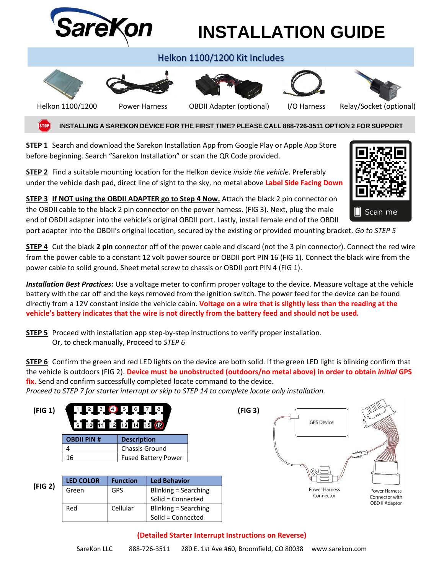

**STEP 2** Find a suitable mounting location for the Helkon device *inside the vehicle*. Preferably under the vehicle dash pad, direct line of sight to the sky, no metal above **Label Side Facing Down**



**STEP 3 If NOT using the OBDII ADAPTER go to Step 4 Now.** Attach the black 2 pin connector on the OBDII cable to the black 2 pin connector on the power harness. (FIG 3). Next, plug the male end of OBDII adapter into the vehicle's original OBDII port. Lastly, install female end of the OBDII

port adapter into the OBDII's original location, secured by the existing or provided mounting bracket. *Go to STEP 5*

**STEP 4** Cut the black **2 pin** connector off of the power cable and discard (not the 3 pin connector). Connect the red wire from the power cable to a constant 12 volt power source or OBDII port PIN 16 (FIG 1). Connect the black wire from the power cable to solid ground. Sheet metal screw to chassis or OBDII port PIN 4 (FIG 1).

*Installation Best Practices:* Use a voltage meter to confirm proper voltage to the device. Measure voltage at the vehicle battery with the car off and the keys removed from the ignition switch. The power feed for the device can be found directly from a 12V constant inside the vehicle cabin. **Voltage on a wire that is slightly less than the reading at the vehicle's battery indicates that the wire is not directly from the battery feed and should not be used.**

**STEP 5** Proceed with installation app step-by-step instructions to verify proper installation. Or, to check manually, Proceed to *STEP 6*

**STEP 6** Confirm the green and red LED lights on the device are both solid. If the green LED light is blinking confirm that the vehicle is outdoors (FIG 2). **Device must be unobstructed (outdoors/no metal above) in order to obtain** *initial* **GPS fix.** Send and confirm successfully completed locate command to the device.

*Proceed to STEP 7 for starter interrupt or skip to STEP 14 to complete locate only installation.*

| (FIG 1) | 123995678<br>9 10 11 12 13 14 15 6       |                       |                            | (FIG 3) | <b>GPS Device</b> |                                  |
|---------|------------------------------------------|-----------------------|----------------------------|---------|-------------------|----------------------------------|
|         | <b>OBDII PIN #</b><br><b>Description</b> |                       |                            |         |                   |                                  |
|         | 4                                        | <b>Chassis Ground</b> |                            |         |                   |                                  |
|         | 16                                       |                       | <b>Fused Battery Power</b> |         |                   |                                  |
| (FIG 2) |                                          |                       |                            |         |                   |                                  |
|         | <b>LED COLOR</b>                         | <b>Function</b>       | <b>Led Behavior</b>        |         |                   |                                  |
|         | Green                                    | <b>GPS</b>            | Blinking = Searching       |         | Power Harness     | <b>Power Harness</b>             |
|         |                                          |                       | Solid = Connected          |         | Connector         | Connector with<br>OBD II Adaptor |
|         | Red                                      | Cellular              | Blinking = Searching       |         |                   |                                  |
|         |                                          |                       | Solid = Connected          |         |                   |                                  |

### **(Detailed Starter Interrupt Instructions on Reverse)**